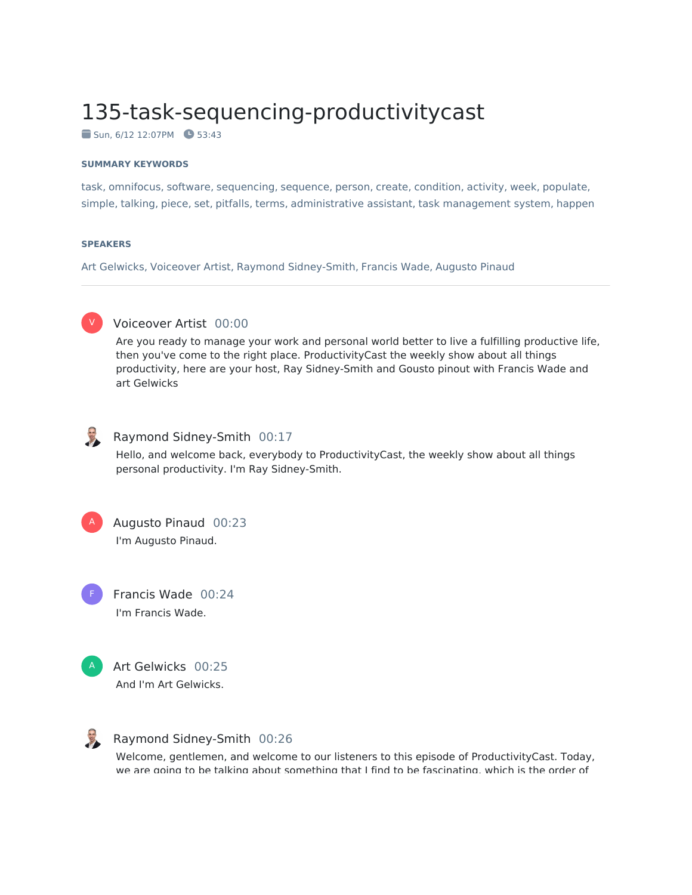# 135-task-sequencing-productivitycast

 $\blacksquare$  Sun, 6/12 12:07PM  $\blacksquare$  53:43

### **SUMMARY KEYWORDS**

task, omnifocus, software, sequencing, sequence, person, create, condition, activity, week, populate, simple, talking, piece, set, pitfalls, terms, administrative assistant, task management system, happen

### **SPEAKERS**

Art Gelwicks, Voiceover Artist, Raymond Sidney-Smith, Francis Wade, Augusto Pinaud



## Voiceover Artist 00:00

Are you ready to manage your work and personal world better to live a fulfilling productive life, then you've come to the right place. ProductivityCast the weekly show about all things productivity, here are your host, Ray Sidney-Smith and Gousto pinout with Francis Wade and art Gelwicks



## Raymond Sidney-Smith 00:17

Hello, and welcome back, everybody to ProductivityCast, the weekly show about all things personal productivity. I'm Ray Sidney-Smith.



F

Augusto Pinaud 00:23 I'm Augusto Pinaud.

Francis Wade 00:24 I'm Francis Wade.







## Raymond Sidney-Smith 00:26

Welcome, gentlemen, and welcome to our listeners to this episode of ProductivityCast. Today, we are going to be talking about something that I find to be fascinating, which is the order of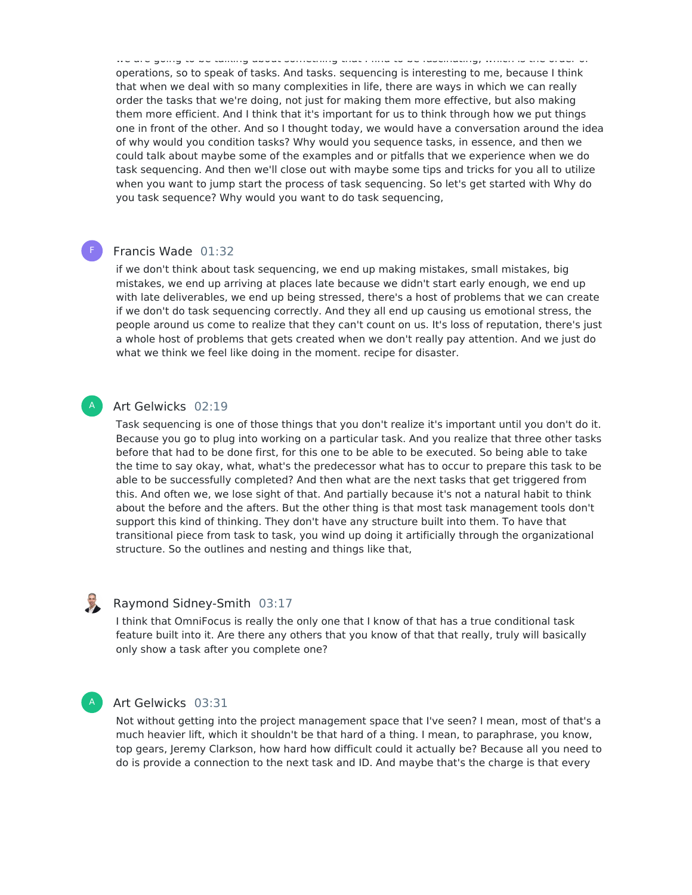we are going to be talking about something that I find to be fascinating, which is the order of operations, so to speak of tasks. And tasks. sequencing is interesting to me, because I think that when we deal with so many complexities in life, there are ways in which we can really order the tasks that we're doing, not just for making them more effective, but also making them more efficient. And I think that it's important for us to think through how we put things one in front of the other. And so I thought today, we would have a conversation around the idea of why would you condition tasks? Why would you sequence tasks, in essence, and then we could talk about maybe some of the examples and or pitfalls that we experience when we do task sequencing. And then we'll close out with maybe some tips and tricks for you all to utilize when you want to jump start the process of task sequencing. So let's get started with Why do you task sequence? Why would you want to do task sequencing,

## Francis Wade 01:32

F

A

if we don't think about task sequencing, we end up making mistakes, small mistakes, big mistakes, we end up arriving at places late because we didn't start early enough, we end up with late deliverables, we end up being stressed, there's a host of problems that we can create if we don't do task sequencing correctly. And they all end up causing us emotional stress, the people around us come to realize that they can't count on us. It's loss of reputation, there's just a whole host of problems that gets created when we don't really pay attention. And we just do what we think we feel like doing in the moment. recipe for disaster.

## Art Gelwicks 02:19

Task sequencing is one of those things that you don't realize it's important until you don't do it. Because you go to plug into working on a particular task. And you realize that three other tasks before that had to be done first, for this one to be able to be executed. So being able to take the time to say okay, what, what's the predecessor what has to occur to prepare this task to be able to be successfully completed? And then what are the next tasks that get triggered from this. And often we, we lose sight of that. And partially because it's not a natural habit to think about the before and the afters. But the other thing is that most task management tools don't support this kind of thinking. They don't have any structure built into them. To have that transitional piece from task to task, you wind up doing it artificially through the organizational structure. So the outlines and nesting and things like that,

## 

## Raymond Sidney-Smith 03:17

I think that OmniFocus is really the only one that I know of that has a true conditional task feature built into it. Are there any others that you know of that that really, truly will basically only show a task after you complete one?

## A

## Art Gelwicks 03:31

Not without getting into the project management space that I've seen? I mean, most of that's a much heavier lift, which it shouldn't be that hard of a thing. I mean, to paraphrase, you know, top gears, Jeremy Clarkson, how hard how difficult could it actually be? Because all you need to do is provide a connection to the next task and ID. And maybe that's the charge is that every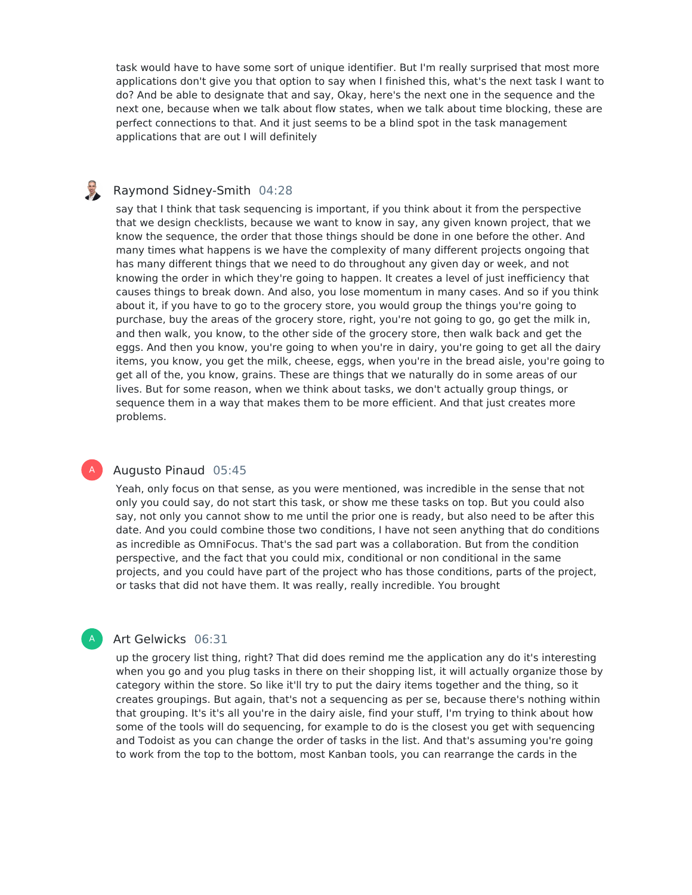task would have to have some sort of unique identifier. But I'm really surprised that most more applications don't give you that option to say when I finished this, what's the next task I want to do? And be able to designate that and say, Okay, here's the next one in the sequence and the next one, because when we talk about flow states, when we talk about time blocking, these are perfect connections to that. And it just seems to be a blind spot in the task management applications that are out I will definitely

## Raymond Sidney-Smith 04:28

say that I think that task sequencing is important, if you think about it from the perspective that we design checklists, because we want to know in say, any given known project, that we know the sequence, the order that those things should be done in one before the other. And many times what happens is we have the complexity of many different projects ongoing that has many different things that we need to do throughout any given day or week, and not knowing the order in which they're going to happen. It creates a level of just inefficiency that causes things to break down. And also, you lose momentum in many cases. And so if you think about it, if you have to go to the grocery store, you would group the things you're going to purchase, buy the areas of the grocery store, right, you're not going to go, go get the milk in, and then walk, you know, to the other side of the grocery store, then walk back and get the eggs. And then you know, you're going to when you're in dairy, you're going to get all the dairy items, you know, you get the milk, cheese, eggs, when you're in the bread aisle, you're going to get all of the, you know, grains. These are things that we naturally do in some areas of our lives. But for some reason, when we think about tasks, we don't actually group things, or sequence them in a way that makes them to be more efficient. And that just creates more problems.

## Augusto Pinaud 05:45

A

A

Yeah, only focus on that sense, as you were mentioned, was incredible in the sense that not only you could say, do not start this task, or show me these tasks on top. But you could also say, not only you cannot show to me until the prior one is ready, but also need to be after this date. And you could combine those two conditions, I have not seen anything that do conditions as incredible as OmniFocus. That's the sad part was a collaboration. But from the condition perspective, and the fact that you could mix, conditional or non conditional in the same projects, and you could have part of the project who has those conditions, parts of the project, or tasks that did not have them. It was really, really incredible. You brought

## Art Gelwicks 06:31

up the grocery list thing, right? That did does remind me the application any do it's interesting when you go and you plug tasks in there on their shopping list, it will actually organize those by category within the store. So like it'll try to put the dairy items together and the thing, so it creates groupings. But again, that's not a sequencing as per se, because there's nothing within that grouping. It's it's all you're in the dairy aisle, find your stuff, I'm trying to think about how some of the tools will do sequencing, for example to do is the closest you get with sequencing and Todoist as you can change the order of tasks in the list. And that's assuming you're going to work from the top to the bottom, most Kanban tools, you can rearrange the cards in the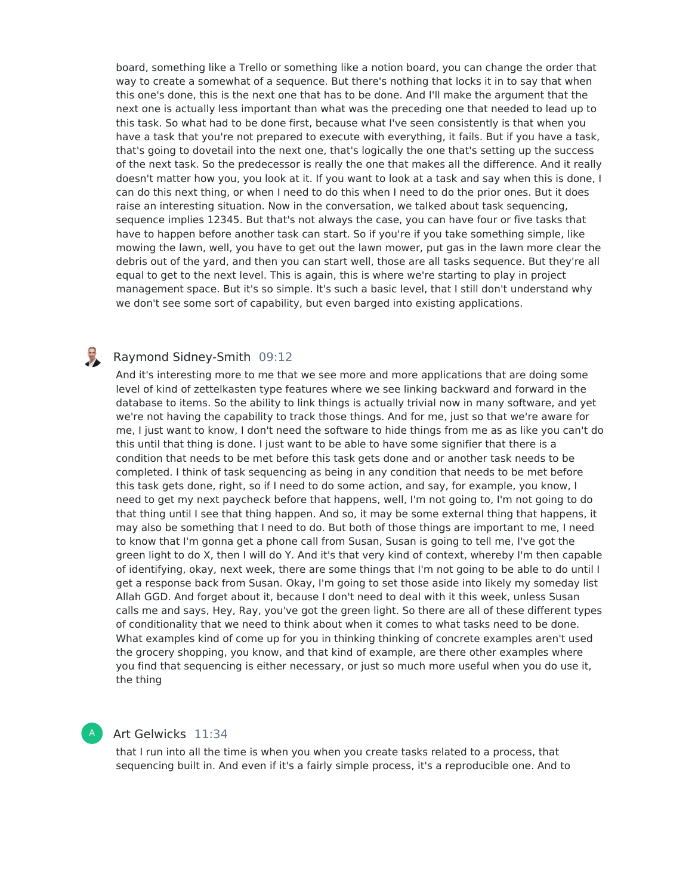board, something like a Trello or something like a notion board, you can change the order that way to create a somewhat of a sequence. But there's nothing that locks it in to say that when this one's done, this is the next one that has to be done. And I'll make the argument that the next one is actually less important than what was the preceding one that needed to lead up to this task. So what had to be done first, because what I've seen consistently is that when you have a task that you're not prepared to execute with everything, it fails. But if you have a task, that's going to dovetail into the next one, that's logically the one that's setting up the success of the next task. So the predecessor is really the one that makes all the difference. And it really doesn't matter how you, you look at it. If you want to look at a task and say when this is done, I can do this next thing, or when I need to do this when I need to do the prior ones. But it does raise an interesting situation. Now in the conversation, we talked about task sequencing, sequence implies 12345. But that's not always the case, you can have four or five tasks that have to happen before another task can start. So if you're if you take something simple, like mowing the lawn, well, you have to get out the lawn mower, put gas in the lawn more clear the debris out of the yard, and then you can start well, those are all tasks sequence. But they're all equal to get to the next level. This is again, this is where we're starting to play in project management space. But it's so simple. It's such a basic level, that I still don't understand why we don't see some sort of capability, but even barged into existing applications.

#### 3 Raymond Sidney-Smith 09:12

And it's interesting more to me that we see more and more applications that are doing some level of kind of zettelkasten type features where we see linking backward and forward in the database to items. So the ability to link things is actually trivial now in many software, and yet we're not having the capability to track those things. And for me, just so that we're aware for me, I just want to know, I don't need the software to hide things from me as as like you can't do this until that thing is done. I just want to be able to have some signifier that there is a condition that needs to be met before this task gets done and or another task needs to be completed. I think of task sequencing as being in any condition that needs to be met before this task gets done, right, so if I need to do some action, and say, for example, you know, I need to get my next paycheck before that happens, well, I'm not going to, I'm not going to do that thing until I see that thing happen. And so, it may be some external thing that happens, it may also be something that I need to do. But both of those things are important to me, I need to know that I'm gonna get a phone call from Susan, Susan is going to tell me, I've got the green light to do X, then I will do Y. And it's that very kind of context, whereby I'm then capable of identifying, okay, next week, there are some things that I'm not going to be able to do until I get a response back from Susan. Okay, I'm going to set those aside into likely my someday list Allah GGD. And forget about it, because I don't need to deal with it this week, unless Susan calls me and says, Hey, Ray, you've got the green light. So there are all of these different types of conditionality that we need to think about when it comes to what tasks need to be done. What examples kind of come up for you in thinking thinking of concrete examples aren't used the grocery shopping, you know, and that kind of example, are there other examples where you find that sequencing is either necessary, or just so much more useful when you do use it, the thing

## Art Gelwicks 11:34

A

that I run into all the time is when you when you create tasks related to a process, that sequencing built in. And even if it's a fairly simple process, it's a reproducible one. And to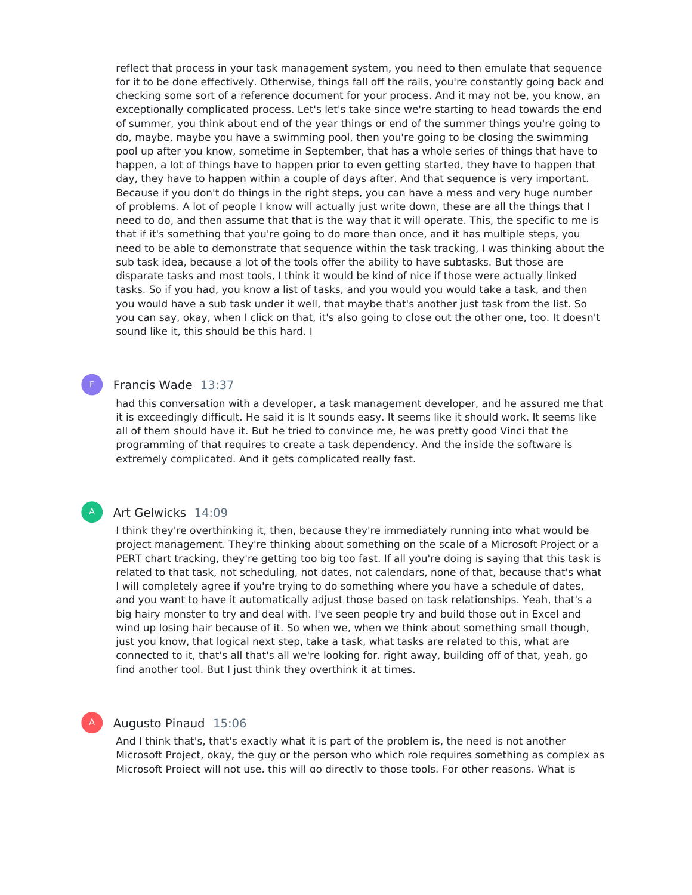reflect that process in your task management system, you need to then emulate that sequence for it to be done effectively. Otherwise, things fall off the rails, you're constantly going back and checking some sort of a reference document for your process. And it may not be, you know, an exceptionally complicated process. Let's let's take since we're starting to head towards the end of summer, you think about end of the year things or end of the summer things you're going to do, maybe, maybe you have a swimming pool, then you're going to be closing the swimming pool up after you know, sometime in September, that has a whole series of things that have to happen, a lot of things have to happen prior to even getting started, they have to happen that day, they have to happen within a couple of days after. And that sequence is very important. Because if you don't do things in the right steps, you can have a mess and very huge number of problems. A lot of people I know will actually just write down, these are all the things that I need to do, and then assume that that is the way that it will operate. This, the specific to me is that if it's something that you're going to do more than once, and it has multiple steps, you need to be able to demonstrate that sequence within the task tracking, I was thinking about the sub task idea, because a lot of the tools offer the ability to have subtasks. But those are disparate tasks and most tools, I think it would be kind of nice if those were actually linked tasks. So if you had, you know a list of tasks, and you would you would take a task, and then you would have a sub task under it well, that maybe that's another just task from the list. So you can say, okay, when I click on that, it's also going to close out the other one, too. It doesn't sound like it, this should be this hard. I

## Francis Wade 13:37

F

A

A

had this conversation with a developer, a task management developer, and he assured me that it is exceedingly difficult. He said it is It sounds easy. It seems like it should work. It seems like all of them should have it. But he tried to convince me, he was pretty good Vinci that the programming of that requires to create a task dependency. And the inside the software is extremely complicated. And it gets complicated really fast.

## Art Gelwicks 14:09

I think they're overthinking it, then, because they're immediately running into what would be project management. They're thinking about something on the scale of a Microsoft Project or a PERT chart tracking, they're getting too big too fast. If all you're doing is saying that this task is related to that task, not scheduling, not dates, not calendars, none of that, because that's what I will completely agree if you're trying to do something where you have a schedule of dates, and you want to have it automatically adjust those based on task relationships. Yeah, that's a big hairy monster to try and deal with. I've seen people try and build those out in Excel and wind up losing hair because of it. So when we, when we think about something small though, just you know, that logical next step, take a task, what tasks are related to this, what are connected to it, that's all that's all we're looking for. right away, building off of that, yeah, go find another tool. But I just think they overthink it at times.

## Augusto Pinaud 15:06

And I think that's, that's exactly what it is part of the problem is, the need is not another Microsoft Project, okay, the guy or the person who which role requires something as complex as Microsoft Project will not use, this will go directly to those tools. For other reasons. What is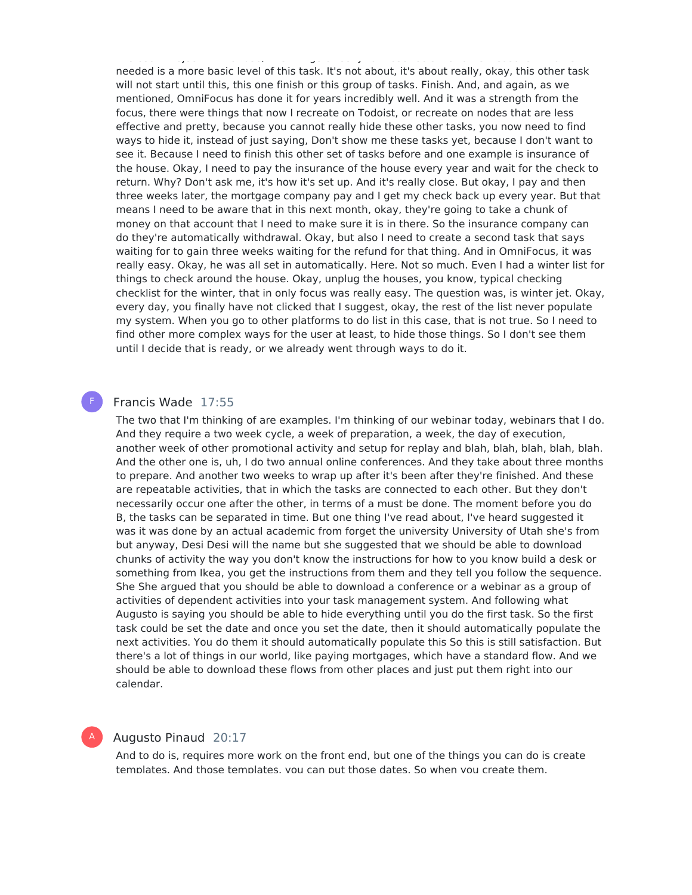Microsoft Project will not use, this will go directly to those tools. For other reasons. What is needed is a more basic level of this task. It's not about, it's about really, okay, this other task will not start until this, this one finish or this group of tasks. Finish. And, and again, as we mentioned, OmniFocus has done it for years incredibly well. And it was a strength from the focus, there were things that now Irecreate on Todoist, or recreate on nodes that are less effective and pretty, because you cannot really hide these other tasks, you now need to find ways to hide it, instead of just saying, Don't show me these tasks yet, because I don't want to see it. Because I need to finish this other set of tasks before and one example is insurance of the house. Okay, I need to pay the insurance of the house every year and wait for the check to return. Why? Don't ask me, it's how it's set up. And it's really close. But okay, I pay and then three weeks later, the mortgage company pay and I get my check back up every year. But that means I need to be aware that in this next month, okay, they're going to take a chunk of money on that account that I need to make sure it is in there. So the insurance company can do they're automatically withdrawal. Okay, but also I need to create a second task that says waiting for to gain three weeks waiting for the refund for that thing. And in OmniFocus, it was really easy. Okay, he was all set in automatically. Here. Not so much. Even I had a winter list for things to check around the house. Okay, unplug the houses, you know, typical checking checklist for the winter, that in only focus was really easy. The question was, is winter jet. Okay, every day, you finally have not clicked that I suggest, okay, the rest of the list never populate my system. When you go to other platforms to do list in this case, that is not true. So I need to find other more complex ways for the user at least, to hide those things. So I don't see them until I decide that is ready, or we already went through ways to do it.

## Francis Wade 17:55

F

A

The two that I'm thinking of are examples. I'm thinking of our webinar today, webinars that I do. And they require a two week cycle, a week of preparation, a week, the day of execution, another week of other promotional activity and setup for replay and blah, blah, blah, blah, blah. And the other one is, uh, I do two annual online conferences. And they take about three months to prepare. And another two weeks to wrap up after it's been after they're finished. And these are repeatable activities, that in which the tasks are connected to each other. But they don't necessarily occur one after the other, in terms of a must be done. The moment before you do B, the tasks can be separated in time. But one thing I've read about, I've heard suggested it was it was done by an actual academic from forget the university University of Utah she's from but anyway, Desi Desi will the name but she suggested that we should be able to download chunks of activity the way you don't know the instructions for how to you know build a desk or something from Ikea, you get the instructions from them and they tell you follow the sequence. She She argued that you should be able to download a conference or a webinar as a group of activities of dependent activities into your task management system. And following what Augusto is saying you should be able to hide everything until you do the first task. So the first task could be set the date and once you set the date, then it should automatically populate the next activities. You do them it should automatically populate this So this is still satisfaction. But there's a lot of things in our world, like paying mortgages, which have a standard flow. And we should be able to download these flows from other places and just put them right into our calendar.

### Augusto Pinaud 20:17

And to do is, requires more work on the front end, but one of the things you can do is create templates. And those templates, you can put those dates. So when you create them,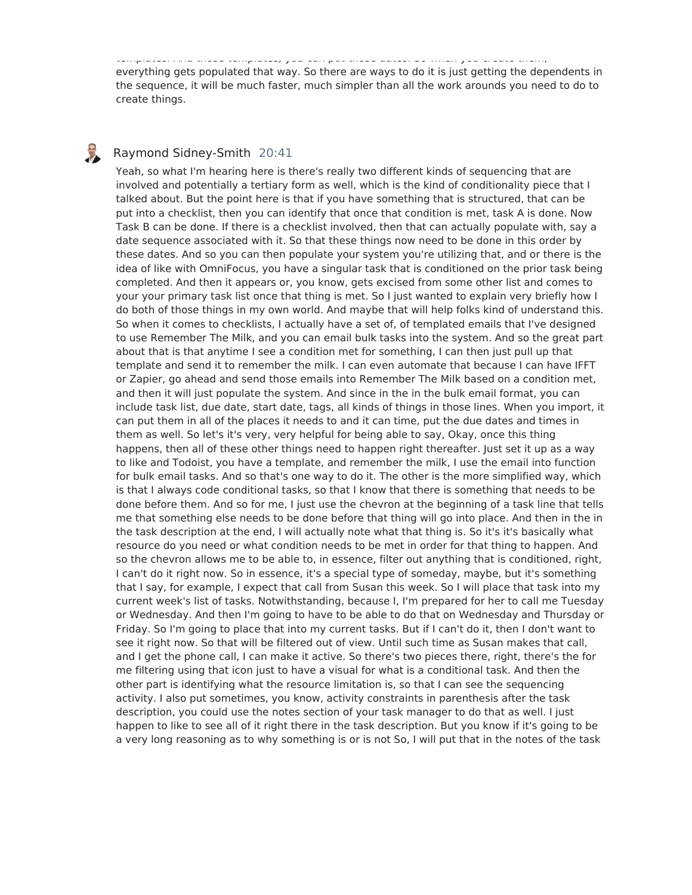templates. And those templates, you can put those dates. So when you create them, everything gets populated that way. So there are ways to do it is just getting the dependents in the sequence, it will be much faster, much simpler than all the work arounds you need to do to create things.

## Raymond Sidney-Smith 20:41

B

Yeah, so what I'm hearing here is there's really two different kinds of sequencing that are involved and potentially a tertiary form as well, which is the kind of conditionality piece that I talked about. But the point here is that if you have something that is structured, that can be put into a checklist, then you can identify that once that condition is met, task A is done. Now Task B can be done. If there is a checklist involved, then that can actually populate with, say a date sequence associated with it. So that these things now need to be done in this order by these dates. And so you can then populate your system you're utilizing that, and or there is the idea of like with OmniFocus, you have a singular task that is conditioned on the prior task being completed. And then it appears or, you know, gets excised from some other list and comes to your your primary task list once that thing is met. So I just wanted to explain very briefly how I do both of those things in my own world. And maybe that will help folks kind of understand this. So when it comes to checklists, I actually have a set of, of templated emails that I've designed to use Remember The Milk, and you can email bulk tasks into the system. And so the great part about that is that anytime I see a condition met for something, I can then just pull up that template and send it to remember the milk. I can even automate that because I can have IFFT or Zapier, go ahead and send those emails into Remember The Milk based on a condition met, and then it will just populate the system. And since in the in the bulk email format, you can include task list, due date, start date, tags, all kinds of things in those lines. When you import, it can put them in all of the places it needs to and it can time, put the due dates and times in them as well. So let's it's very, very helpful for being able to say, Okay, once this thing happens, then all of these other things need to happen right thereafter. Just set it up as a way to like and Todoist, you have a template, and remember the milk, I use the email into function for bulk email tasks. And so that's one way to do it. The other is the more simplified way, which is that I always code conditional tasks, so that I know that there is something that needs to be done before them. And so for me, I just use the chevron at the beginning of a task line that tells me that something else needs to be done before that thing will go into place. And then in the in the task description at the end, I will actually note what that thing is. So it's it's basically what resource do you need or what condition needs to be met in order for that thing to happen. And so the chevron allows me to be able to, in essence, filter out anything that is conditioned, right, I can't do it right now. So in essence, it's a special type of someday, maybe, but it's something that I say, for example, I expect that call from Susan this week. So I will place that task into my current week's list of tasks. Notwithstanding, because I, I'm prepared for her to call me Tuesday or Wednesday. And then I'm going to have to be able to do that on Wednesday and Thursday or Friday. So I'm going to place that into my current tasks. But if I can't do it, then I don't want to see it right now. So that will be filtered out of view. Until such time as Susan makes that call, and I get the phone call, I can make it active. So there's two pieces there, right, there's the for me filtering using that icon just to have a visual for what is a conditional task. And then the other part is identifying what the resource limitation is, so that I can see the sequencing activity. I also put sometimes, you know, activity constraints in parenthesis after the task description, you could use the notes section of your task manager to do that as well. I just happen to like to see all of it right there in the task description. But you know if it's going to be a very long reasoning as to why something is or is not So, I will put that in the notes of the task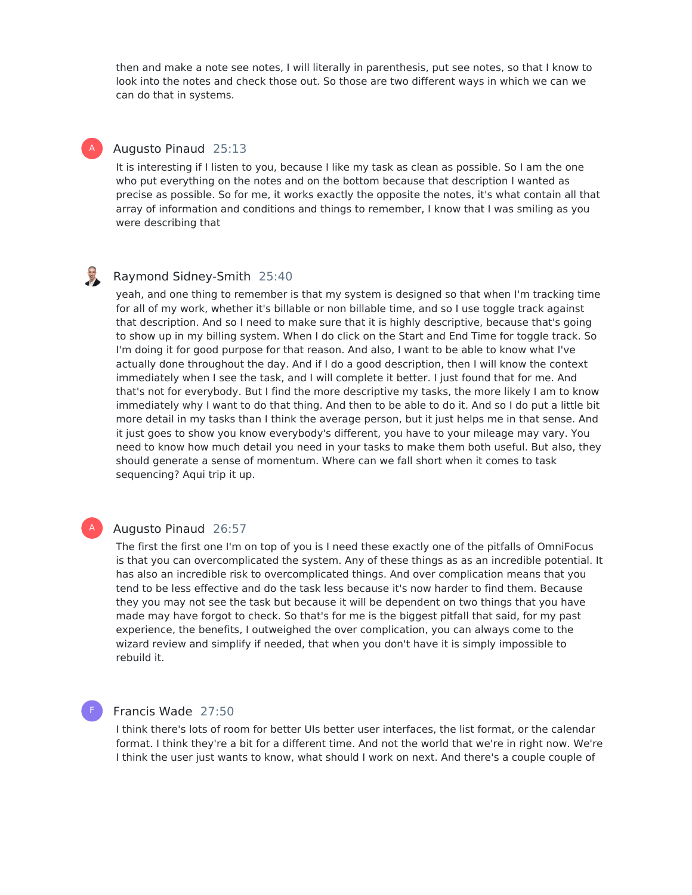then and make a note see notes, I will literally in parenthesis, put see notes, so that I know to look into the notes and check those out. So those are two different ways in which we can we can do that in systems.

## Augusto Pinaud 25:13

A

It is interesting if I listen to you, because I like my task as clean as possible. So I am the one who put everything on the notes and on the bottom because that description I wanted as precise as possible. So for me, it works exactly the opposite the notes, it's what contain all that array of information and conditions and things to remember, I know that I was smiling as you were describing that

#### ED Raymond Sidney-Smith 25:40

yeah, and one thing to remember is that my system is designed so that when I'm tracking time for all of my work, whether it's billable or non billable time, and so I use toggle track against that description. And so I need to make sure that it is highly descriptive, because that's going to show up in my billing system. When I do click on the Start and End Time for toggle track. So I'm doing it for good purpose for that reason. And also, I want to be able to know what I've actually done throughout the day. And if I do a good description, then I will know the context immediately when I see the task, and I will complete it better. I just found that for me. And that's not for everybody. But I find the more descriptive my tasks, the more likely I am to know immediately why I want to do that thing. And then to be able to do it. And so I do put a little bit more detail in my tasks than I think the average person, but it just helps me in that sense. And it just goes to show you know everybody's different, you have to your mileage may vary. You need to know how much detail you need in your tasks to make them both useful. But also, they should generate a sense of momentum. Where can we fall short when it comes to task sequencing? Aqui trip it up.

#### Augusto Pinaud 26:57 A

The first the first one I'm on top of you is I need these exactly one of the pitfalls of OmniFocus is that you can overcomplicated the system. Any of these things as as an incredible potential. It has also an incredible risk to overcomplicated things. And over complication means that you tend to be less effective and do the task less because it's now harder to find them. Because they you may not see the task but because it will be dependent on two things that you have made may have forgot to check. So that's for me is the biggest pitfall that said, for my past experience, the benefits, I outweighed the over complication, you can always come to the wizard review and simplify if needed, that when you don't have it is simply impossible to rebuild it.

### F

## Francis Wade 27:50

I think there's lots of room for better UIs better user interfaces, the list format, or the calendar format. I think they're a bit for a different time. And not the world that we're in right now. We're I think the user just wants to know, what should I work on next. And there's a couple couple of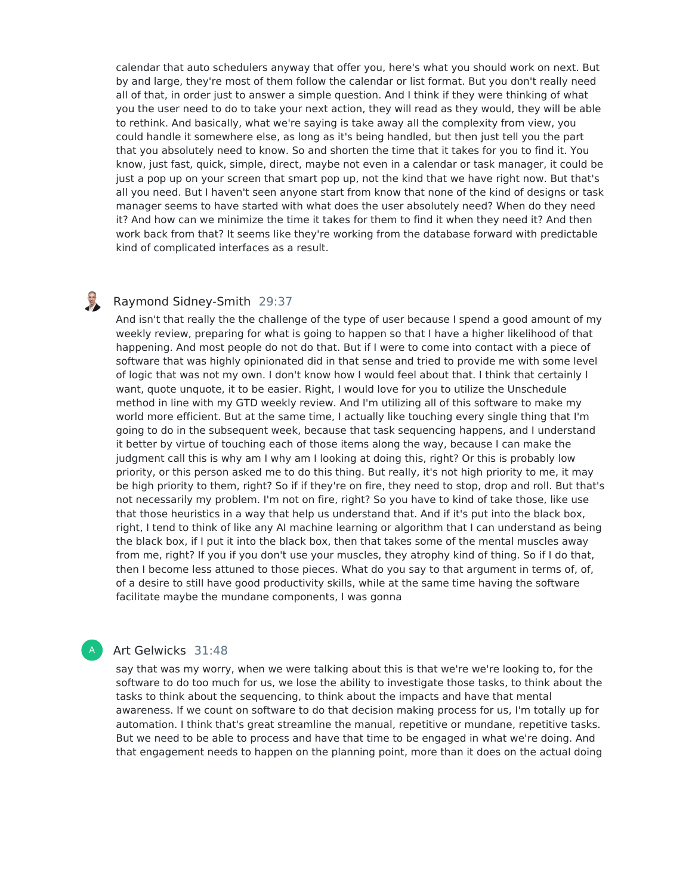calendar that auto schedulers anyway that offer you, here's what you should work on next. But by and large, they're most of them follow the calendar or list format. But you don't really need all of that, in order just to answer a simple question. And I think if they were thinking of what you the user need to do to take your next action, they will read as they would, they will be able to rethink. And basically, what we're saying is take away all the complexity from view, you could handle it somewhere else, as long as it's being handled, but then just tell you the part that you absolutely need to know. So and shorten the time that it takes for you to find it. You know, just fast, quick, simple, direct, maybe not even in a calendar or task manager, it could be just a pop up on your screen that smart pop up, not the kind that we have right now. But that's all you need. But I haven't seen anyone start from know that none of the kind of designs or task manager seems to have started with what does the user absolutely need? When do they need it? And how can we minimize the time it takes for them to find it when they need it? And then work back from that? It seems like they're working from the database forward with predictable kind of complicated interfaces as a result.

#### U Raymond Sidney-Smith 29:37

And isn't that really the the challenge of the type of user because I spend a good amount of my weekly review, preparing for what is going to happen so that I have a higher likelihood of that happening. And most people do not do that. But if I were to come into contact with a piece of software that was highly opinionated did in that sense and tried to provide me with some level of logic that was not my own. I don't know how I would feel about that. I think that certainly I want, quote unquote, it to be easier. Right, I would love for you to utilize the Unschedule method in line with my GTD weekly review. And I'm utilizing all of this software to make my world more efficient. But at the same time, I actually like touching every single thing that I'm going to do in the subsequent week, because that task sequencing happens, and I understand it better by virtue of touching each of those items along the way, because I can make the judgment call this is why am I why am I looking at doing this, right? Or this is probably low priority, or this person asked me to do this thing. But really, it's not high priority to me, it may be high priority to them, right? So if if they're on fire, they need to stop, drop and roll. But that's not necessarily my problem. I'm not on fire, right? So you have to kind of take those, like use that those heuristics in a way that help us understand that. And if it's put into the black box, right, I tend to think of like any AI machine learning or algorithm that I can understand as being the black box, if I put it into the black box, then that takes some of the mental muscles away from me, right? If you if you don't use your muscles, they atrophy kind of thing. So if I do that, then I become less attuned to those pieces. What do you say to that argument in terms of, of, of a desire to still have good productivity skills, while at the same time having the software facilitate maybe the mundane components, I was gonna

## Art Gelwicks 31:48

A

say that was my worry, when we were talking about this is that we're we're looking to, for the software to do too much for us, we lose the ability to investigate those tasks, to think about the tasks to think about the sequencing, to think about the impacts and have that mental awareness. If we count on software to do that decision making process for us, I'm totally up for automation. I think that's great streamline the manual, repetitive or mundane, repetitive tasks. But we need to be able to process and have that time to be engaged in what we're doing. And that engagement needs to happen on the planning point, more than it does on the actual doing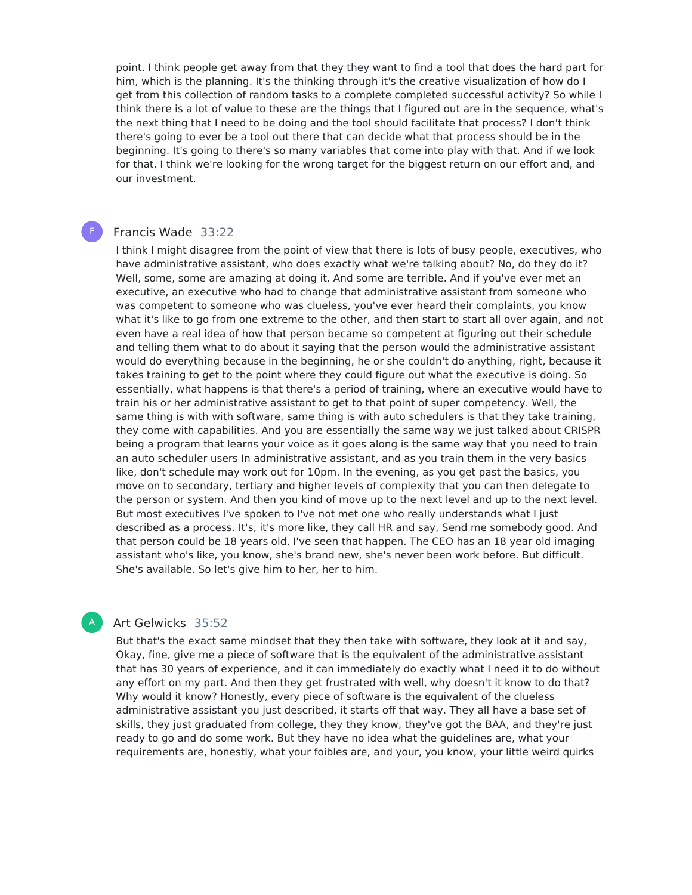point. I think people get away from that they they want to find a tool that does the hard part for him, which is the planning. It's the thinking through it's the creative visualization of how do I get from this collection of random tasks to a complete completed successful activity? So while I think there is a lot of value to these are the things that I figured out are in the sequence, what's the next thing that I need to be doing and the tool should facilitate that process? I don't think there's going to ever be a tool out there that can decide what that process should be in the beginning. It's going to there's so many variables that come into play with that. And if we look for that, I think we're looking for the wrong target for the biggest return on our effort and, and our investment.

#### Francis Wade 33:22 F

I think I might disagree from the point of view that there is lots of busy people, executives, who have administrative assistant, who does exactly what we're talking about? No, do they do it? Well, some, some are amazing at doing it. And some are terrible. And if you've ever met an executive, an executive who had to change that administrative assistant from someone who was competent to someone who was clueless, you've ever heard their complaints, you know what it's like to go from one extreme to the other, and then start to start all over again, and not even have a real idea of how that person became so competent at figuring out their schedule and telling them what to do about it saying that the person would the administrative assistant would do everything because in the beginning, he or she couldn't do anything, right, because it takes training to get to the point where they could figure out what the executive is doing. So essentially, what happens is that there's a period of training, where an executive would have to train his or her administrative assistant to get to that point of super competency. Well, the same thing is with with software, same thing is with auto schedulers is that they take training, they come with capabilities. And you are essentially the same way we just talked about CRISPR being a program that learns your voice as it goes along is the same way that you need to train an auto scheduler users In administrative assistant, and as you train them in the very basics like, don't schedule may work out for 10pm. In the evening, as you get past the basics, you move on to secondary, tertiary and higher levels of complexity that you can then delegate to the person or system. And then you kind of move up to the next level and up to the next level. But most executives I've spoken to I've not met one who really understands what I just described as a process. It's, it's more like, they call HR and say, Send me somebody good. And that person could be 18 years old, I've seen that happen. The CEO has an 18 year old imaging assistant who's like, you know, she's brand new, she's never been work before. But difficult. She's available. So let's give him to her, her to him.

## Art Gelwicks 35:52

A

But that's the exact same mindset that they then take with software, they look at it and say, Okay, fine, give me a piece of software that is the equivalent of the administrative assistant that has 30 years of experience, and it can immediately do exactly what I need it to do without any effort on my part. And then they get frustrated with well, why doesn't it know to do that? Why would it know? Honestly, every piece of software is the equivalent of the clueless administrative assistant you just described, it starts off that way. They all have a base set of skills, they just graduated from college, they they know, they've got the BAA, and they're just ready to go and do some work. But they have no idea what the guidelines are, what your requirements are, honestly, what your foibles are, and your, you know, your little weird quirks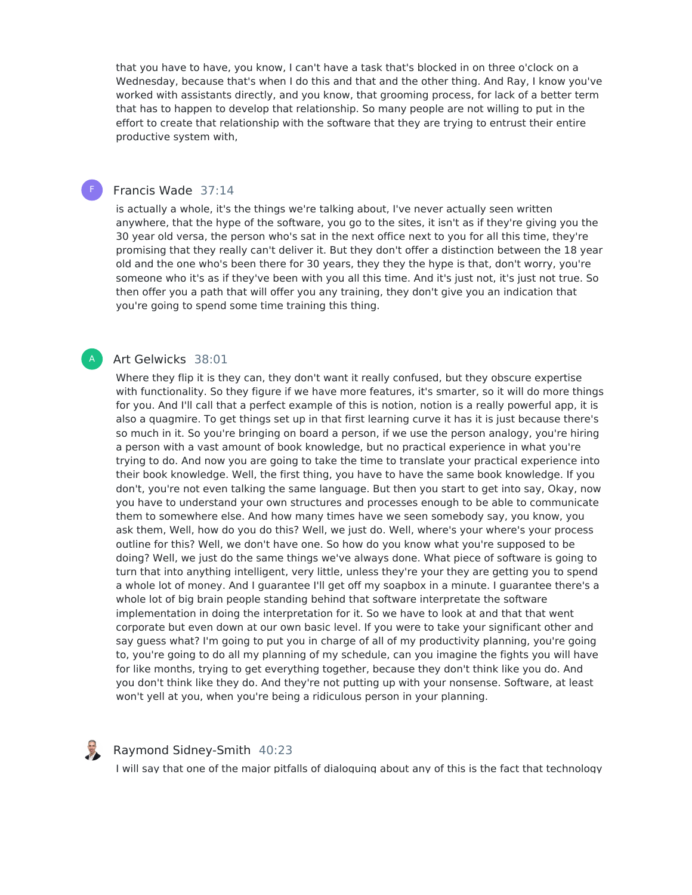that you have to have, you know, I can't have a task that's blocked in on three o'clock on a Wednesday, because that's when I do this and that and the other thing. And Ray, I know you've worked with assistants directly, and you know, that grooming process, for lack of a better term that has to happen to develop that relationship. So many people are not willing to put in the effort to create that relationship with the software that they are trying to entrust their entire productive system with,

## Francis Wade 37:14

F

A

is actually a whole, it's the things we're talking about, I've never actually seen written anywhere, that the hype of the software, you go to the sites, it isn't as if they're giving you the 30 year old versa, the person who's sat in the next office next to you for all this time, they're promising that they really can't deliver it. But they don't offer a distinction between the 18 year old and the one who's been there for 30 years, they they the hype is that, don't worry, you're someone who it's as if they've been with you all this time. And it's just not, it's just not true. So then offer you a path that will offer you any training, they don't give you an indication that you're going to spend some time training this thing.

## Art Gelwicks 38:01

Where they flip it is they can, they don't want it really confused, but they obscure expertise with functionality. So they figure if we have more features, it's smarter, so it will do more things for you. And I'll call that a perfect example of this is notion, notion is a really powerful app, it is also a quagmire. To get things set up in that first learning curve it has it is just because there's so much in it. So you're bringing on board a person, if we use the person analogy, you're hiring a person with a vast amount of book knowledge, but no practical experience in what you're trying to do. And now you are going to take the time to translate your practical experience into their book knowledge. Well, the first thing, you have to have the same book knowledge. If you don't, you're not even talking the same language. But then you start to get into say, Okay, now you have to understand your own structures and processes enough to be able to communicate them to somewhere else. And how many times have we seen somebody say, you know, you ask them, Well, how do you do this? Well, we just do. Well, where's your where's your process outline for this? Well, we don't have one. So how do you know what you're supposed to be doing? Well, we just do the same things we've always done. What piece of software is going to turn that into anything intelligent, very little, unless they're your they are getting you to spend a whole lot of money. And I guarantee I'll get off my soapbox in a minute. I guarantee there's a whole lot of big brain people standing behind that software interpretate the software implementation in doing the interpretation for it. So we have to look at and that that went corporate but even down at our own basic level. If you were to take your significant other and say guess what? I'm going to put you in charge of all of my productivity planning, you're going to, you're going to do all my planning of my schedule, can you imagine the fights you will have for like months, trying to get everything together, because they don't think like you do. And you don't think like they do. And they're not putting up with your nonsense. Software, at least won't yell at you, when you're being a ridiculous person in your planning.

## Raymond Sidney-Smith 40:23

I will say that one of the major pitfalls of dialoguing about any of this is the fact that technology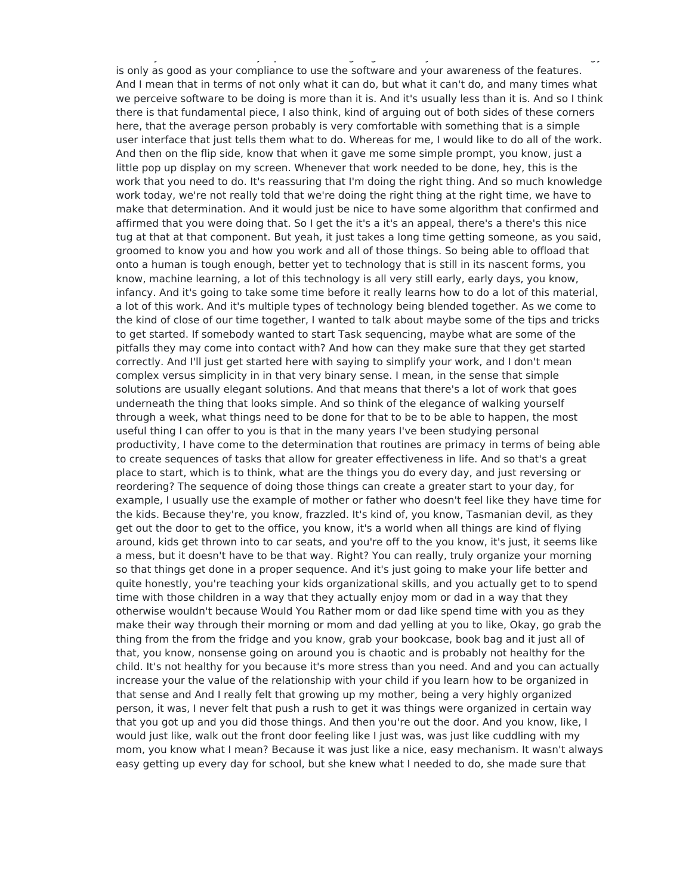I will say that one of the major pitfalls of dialoguing about any of this is the fact that technology is only as good as your compliance to use the software and your awareness of the features. And I mean that in terms of not only what it can do, but what it can't do, and many times what we perceive software to be doing is more than it is. And it's usually less than it is. And so I think there is that fundamental piece, I also think, kind of arguing out of both sides of these corners here, that the average person probably is very comfortable with something that is a simple user interface that just tells them what to do. Whereas for me, I would like to do all of the work. And then on the flip side, know that when it gave me some simple prompt, you know, just a little pop up display on my screen. Whenever that work needed to be done, hey, this is the work that you need to do. It's reassuring that I'm doing the right thing. And so much knowledge work today, we're not really told that we're doing the right thing at the right time, we have to make that determination. And it would just be nice to have some algorithm that confirmed and affirmed that you were doing that. So I get the it's a it's an appeal, there's a there's this nice tug at that at that component. But yeah, it just takes a long time getting someone, as you said, groomed to know you and how you work and all of those things. So being able to offload that onto a human is tough enough, better yet to technology that is still in its nascent forms, you know, machine learning, a lot of this technology is all very still early, early days, you know, infancy. And it's going to take some time before it really learns how to do a lot of this material, a lot of this work. And it's multiple types of technology being blended together. As we come to the kind of close of our time together, I wanted to talk about maybe some of the tips and tricks to get started. If somebody wanted to start Task sequencing, maybe what are some of the pitfalls they may come into contact with? And how can they make sure that they get started correctly. And I'll just get started here with saying to simplify your work, and I don't mean complex versus simplicity in in that very binary sense. I mean, in the sense that simple solutions are usually elegant solutions. And that means that there's a lot of work that goes underneath the thing that looks simple. And so think of the elegance of walking yourself through a week, what things need to be done for that to be to be able to happen, the most useful thing I can offer to you is that in the many years I've been studying personal productivity, I have come to the determination that routines are primacy in terms of being able to create sequences of tasks that allow for greater effectiveness in life. And so that's a great place to start, which is to think, what are the things you do every day, and just reversing or reordering? The sequence of doing those things can create a greater start to your day, for example, I usually use the example of mother or father who doesn't feel like they have time for the kids. Because they're, you know, frazzled. It's kind of, you know, Tasmanian devil, as they get out the door to get to the office, you know, it's a world when all things are kind of flying around, kids get thrown into to car seats, and you're off to the you know, it's just, it seems like a mess, but it doesn't have to be that way. Right? You can really, truly organize your morning so that things get done in a proper sequence. And it's just going to make your life better and quite honestly, you're teaching your kids organizational skills, and you actually get to to spend time with those children in a way that they actually enjoy mom or dad in a way that they otherwise wouldn't because Would You Rather mom or dad like spend time with you as they make their way through their morning or mom and dad yelling at you to like, Okay, go grab the thing from the from the fridge and you know, grab your bookcase, book bag and it just all of that, you know, nonsense going on around you is chaotic and is probably not healthy for the child. It's not healthy for you because it's more stress than you need. And and you can actually increase your the value of the relationship with your child if you learn how to be organized in that sense and And I really felt that growing up my mother, being a very highly organized person, it was, I never felt that push a rush to get it was things were organized in certain way that you got up and you did those things. And then you're out the door. And you know, like, I would just like, walk out the front door feeling like I just was, was just like cuddling with my mom, you know what I mean? Because it was just like a nice, easy mechanism. It wasn't always easy getting up every day for school, but she knew what I needed to do, she made sure that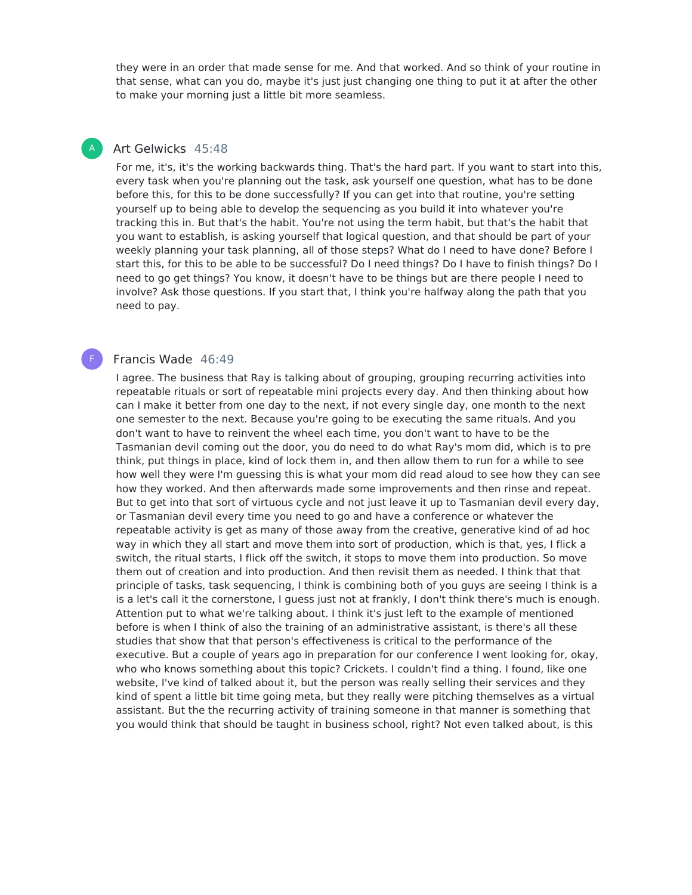they were in an order that made sense for me. And that worked. And so think of your routine in that sense, what can you do, maybe it's just just changing one thing to put it at after the other to make your morning just a little bit more seamless.

## Art Gelwicks 45:48

A

F

For me, it's, it's the working backwards thing. That's the hard part. If you want to start into this, every task when you're planning out the task, ask yourself one question, what has to be done before this, for this to be done successfully? If you can get into that routine, you're setting yourself up to being able to develop the sequencing as you build it into whatever you're tracking this in. But that's the habit. You're not using the term habit, but that's the habit that you want to establish, is asking yourself that logical question, and that should be part of your weekly planning your task planning, all of those steps? What do I need to have done? Before I start this, for this to be able to be successful? Do I need things? Do I have to finish things? Do I need to go get things? You know, it doesn't have to be things but are there people I need to involve? Ask those questions. If you start that, I think you're halfway along the path that you need to pay.

## Francis Wade 46:49

I agree. The business that Ray is talking about of grouping, grouping recurring activities into repeatable rituals or sort of repeatable mini projects every day. And then thinking about how can I make it better from one day to the next, if not every single day, one month to the next one semester to the next. Because you're going to be executing the same rituals. And you don't want to have to reinvent the wheel each time, you don't want to have to be the Tasmanian devil coming out the door, you do need to do what Ray's mom did, which is to pre think, put things in place, kind of lock them in, and then allow them to run for a while to see how well they were I'm guessing this is what your mom did read aloud to see how they can see how they worked. And then afterwards made some improvements and then rinse and repeat. But to get into that sort of virtuous cycle and not just leave it up to Tasmanian devil every day, or Tasmanian devil every time you need to go and have a conference or whatever the repeatable activity is get as many of those away from the creative, generative kind of ad hoc way in which they all start and move them into sort of production, which is that, yes, I flick a switch, the ritual starts, I flick off the switch, it stops to move them into production. So move them out of creation and into production. And then revisit them as needed. I think that that principle of tasks, task sequencing, I think is combining both of you guys are seeing I think is a is a let's call it the cornerstone, I guess just not at frankly, I don't think there's much is enough. Attention put to what we're talking about. I think it's just left to the example of mentioned before is when I think of also the training of an administrative assistant, is there's all these studies that show that that person's effectiveness is critical to the performance of the executive. But a couple of years ago in preparation for our conference I went looking for, okay, who who knows something about this topic? Crickets. I couldn't find a thing. I found, like one website, I've kind of talked about it, but the person was really selling their services and they kind of spent a little bit time going meta, but they really were pitching themselves as a virtual assistant. But the the recurring activity of training someone in that manner is something that you would think that should be taught in business school, right? Not even talked about, is this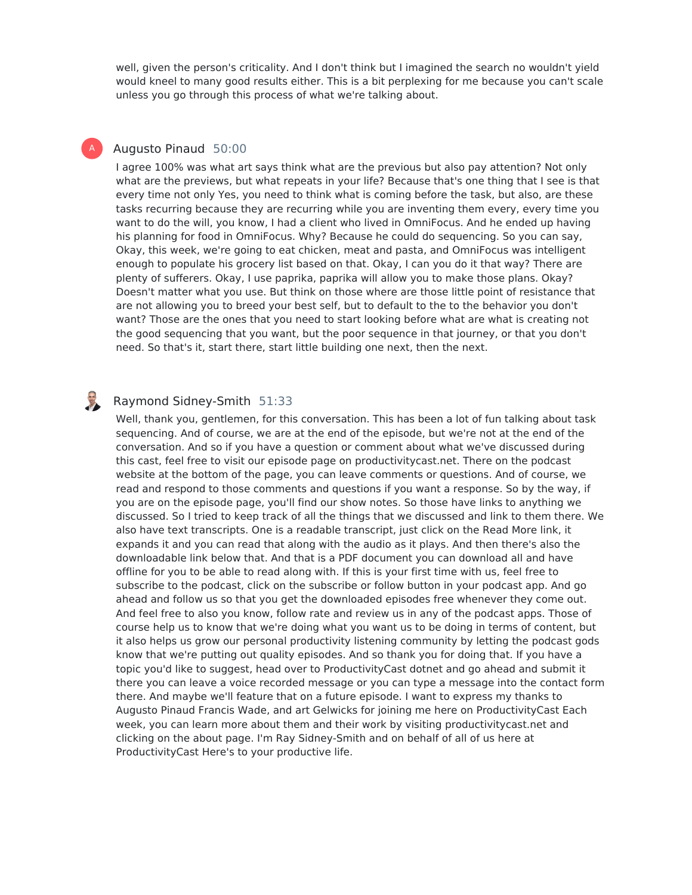well, given the person's criticality. And I don't think but I imagined the search no wouldn't yield would kneel to many good results either. This is a bit perplexing for me because you can't scale unless you go through this process of what we're talking about.

## Augusto Pinaud 50:00

A

I agree 100% was what art says think what are the previous but also pay attention? Not only what are the previews, but what repeats in your life? Because that's one thing that I see is that every time not only Yes, you need to think what is coming before the task, but also, are these tasks recurring because they are recurring while you are inventing them every, every time you want to do the will, you know, I had a client who lived in OmniFocus. And he ended up having his planning for food in OmniFocus. Why? Because he could do sequencing. So you can say, Okay, this week, we're going to eat chicken, meat and pasta, and OmniFocus was intelligent enough to populate his grocery list based on that. Okay, I can you do it that way? There are plenty of sufferers. Okay, I use paprika, paprika will allow you to make those plans. Okay? Doesn't matter what you use. But think on those where are those little point of resistance that are not allowing you to breed your best self, but to default to the to the behavior you don't want? Those are the ones that you need to start looking before what are what is creating not the good sequencing that you want, but the poor sequence in that journey, or that you don't need. So that's it, start there, start little building one next, then the next.

#### B Raymond Sidney-Smith 51:33

Well, thank you, gentlemen, for this conversation. This has been a lot of fun talking about task sequencing. And of course, we are at the end of the episode, but we're not at the end of the conversation. And so if you have a question or comment about what we've discussed during this cast, feel free to visit our episode page on productivitycast.net. There on the podcast website at the bottom of the page, you can leave comments or questions. And of course, we read and respond to those comments and questions if you want a response. So by the way, if you are on the episode page, you'll find our show notes. So those have links to anything we discussed. So I tried to keep track of all the things that we discussed and link to them there. We also have text transcripts. One is a readable transcript, just click on the Read More link, it expands it and you can read that along with the audio as it plays. And then there's also the downloadable link below that. And that is a PDF document you can download all and have offline for you to be able to read along with. If this is your first time with us, feel free to subscribe to the podcast, click on the subscribe or follow button in your podcast app. And go ahead and follow us so that you get the downloaded episodes free whenever they come out. And feel free to also you know, follow rate and review us in any of the podcast apps. Those of course help us to know that we're doing what you want us to be doing in terms of content, but it also helps us grow our personal productivity listening community by letting the podcast gods know that we're putting out quality episodes. And so thank you for doing that. If you have a topic you'd like to suggest, head over to ProductivityCast dotnet and go ahead and submit it there you can leave a voice recorded message or you can type a message into the contact form there. And maybe we'll feature that on a future episode. I want to express my thanks to Augusto Pinaud Francis Wade, and art Gelwicks for joining me here on ProductivityCast Each week, you can learn more about them and their work by visiting productivitycast.net and clicking on the about page. I'm Ray Sidney-Smith and on behalf of all of us here at ProductivityCast Here's to your productive life.